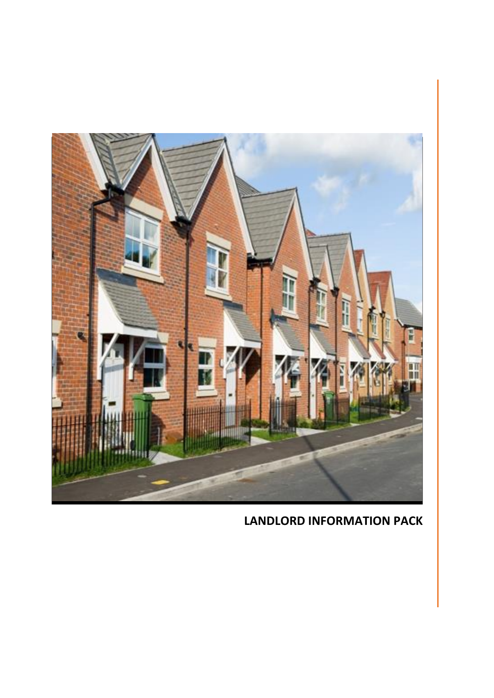

# **LANDLORD INFORMATION PACK**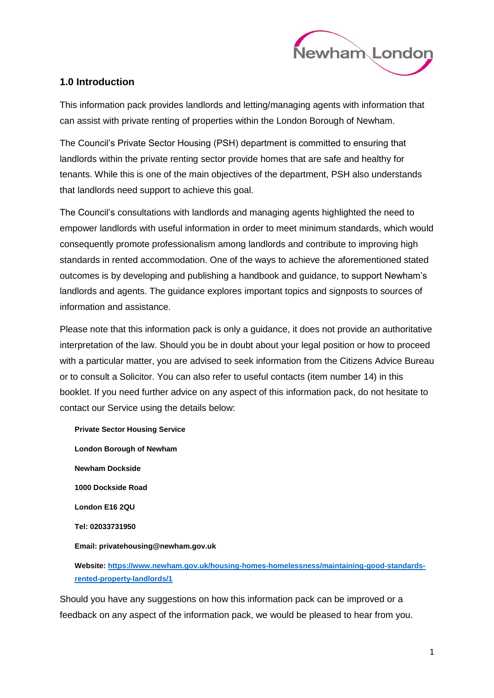

## **1.0 Introduction**

This information pack provides landlords and letting/managing agents with information that can assist with private renting of properties within the London Borough of Newham.

The Council's Private Sector Housing (PSH) department is committed to ensuring that landlords within the private renting sector provide homes that are safe and healthy for tenants. While this is one of the main objectives of the department, PSH also understands that landlords need support to achieve this goal.

The Council's consultations with landlords and managing agents highlighted the need to empower landlords with useful information in order to meet minimum standards, which would consequently promote professionalism among landlords and contribute to improving high standards in rented accommodation. One of the ways to achieve the aforementioned stated outcomes is by developing and publishing a handbook and guidance, to support Newham's landlords and agents. The guidance explores important topics and signposts to sources of information and assistance.

Please note that this information pack is only a guidance, it does not provide an authoritative interpretation of the law. Should you be in doubt about your legal position or how to proceed with a particular matter, you are advised to seek information from the Citizens Advice Bureau or to consult a Solicitor. You can also refer to useful contacts (item number 14) in this booklet. If you need further advice on any aspect of this information pack, do not hesitate to contact our Service using the details below:

**Private Sector Housing Service London Borough of Newham Newham Dockside 1000 Dockside Road London E16 2QU Tel: 02033731950 Email: privatehousing@newham.gov.uk**

**Website: [https://www.newham.gov.uk/housing-homes-homelessness/maintaining-good-standards](https://www.newham.gov.uk/housing-homes-homelessness/maintaining-good-standards-rented-property-landlords/1)[rented-property-landlords/1](https://www.newham.gov.uk/housing-homes-homelessness/maintaining-good-standards-rented-property-landlords/1)**

Should you have any suggestions on how this information pack can be improved or a feedback on any aspect of the information pack, we would be pleased to hear from you.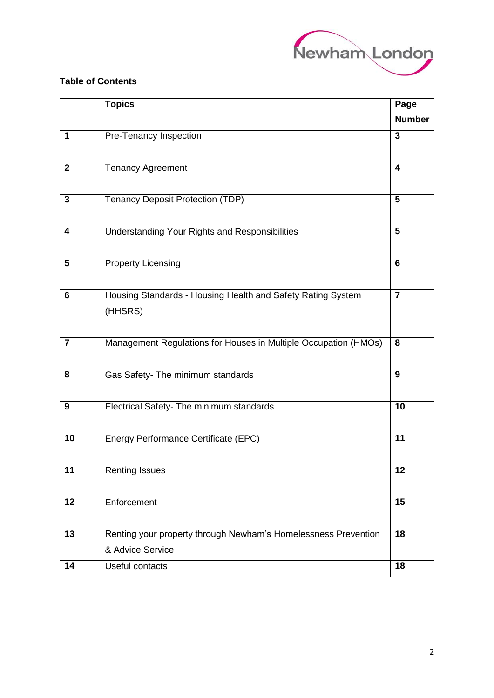

#### $\overline{a}$ **Table of Contents**

|                         | <b>Topics</b>                                                                      | Page                    |
|-------------------------|------------------------------------------------------------------------------------|-------------------------|
|                         |                                                                                    | <b>Number</b>           |
| 1                       | Pre-Tenancy Inspection                                                             | 3                       |
| $\mathbf{2}$            | <b>Tenancy Agreement</b>                                                           | $\overline{\mathbf{4}}$ |
| 3                       | <b>Tenancy Deposit Protection (TDP)</b>                                            | 5                       |
| 4                       | Understanding Your Rights and Responsibilities                                     | 5                       |
| 5                       | <b>Property Licensing</b>                                                          | $6\phantom{1}$          |
| 6                       | Housing Standards - Housing Health and Safety Rating System<br>(HHSRS)             | $\overline{7}$          |
| $\overline{\mathbf{r}}$ | Management Regulations for Houses in Multiple Occupation (HMOs)                    | 8                       |
| 8                       | Gas Safety- The minimum standards                                                  | 9                       |
| 9                       | Electrical Safety- The minimum standards                                           | 10                      |
| 10                      | Energy Performance Certificate (EPC)                                               | 11                      |
| 11                      | <b>Renting Issues</b>                                                              | 12                      |
| 12                      | Enforcement                                                                        | 15                      |
| 13                      | Renting your property through Newham's Homelessness Prevention<br>& Advice Service | 18                      |
| 14                      | Useful contacts                                                                    | 18                      |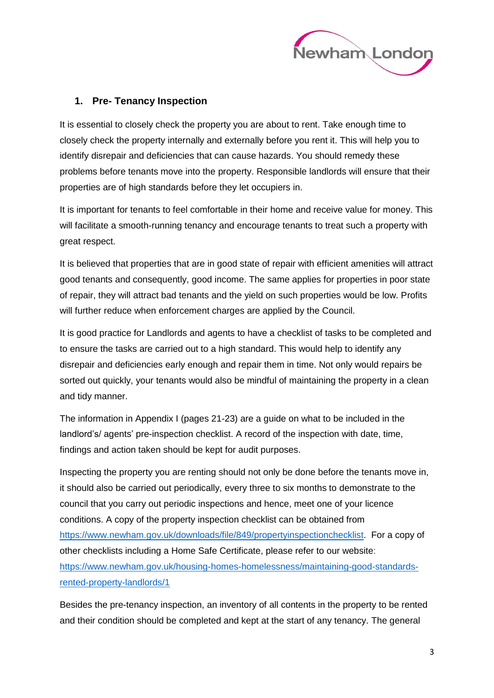

### **1. Pre- Tenancy Inspection**

It is essential to closely check the property you are about to rent. Take enough time to closely check the property internally and externally before you rent it. This will help you to identify disrepair and deficiencies that can cause hazards. You should remedy these problems before tenants move into the property. Responsible landlords will ensure that their properties are of high standards before they let occupiers in.

It is important for tenants to feel comfortable in their home and receive value for money. This will facilitate a smooth-running tenancy and encourage tenants to treat such a property with great respect.

It is believed that properties that are in good state of repair with efficient amenities will attract good tenants and consequently, good income. The same applies for properties in poor state of repair, they will attract bad tenants and the yield on such properties would be low. Profits will further reduce when enforcement charges are applied by the Council.

It is good practice for Landlords and agents to have a checklist of tasks to be completed and to ensure the tasks are carried out to a high standard. This would help to identify any disrepair and deficiencies early enough and repair them in time. Not only would repairs be sorted out quickly, your tenants would also be mindful of maintaining the property in a clean and tidy manner.

The information in Appendix I (pages 21-23) are a guide on what to be included in the landlord's/ agents' pre-inspection checklist. A record of the inspection with date, time, findings and action taken should be kept for audit purposes.

Inspecting the property you are renting should not only be done before the tenants move in, it should also be carried out periodically, every three to six months to demonstrate to the council that you carry out periodic inspections and hence, meet one of your licence conditions. A copy of the property inspection checklist can be obtained from [https://www.newham.gov.uk/downloads/file/849/propertyinspectionchecklist.](https://www.newham.gov.uk/downloads/file/849/propertyinspectionchecklist) For a copy of other checklists including a Home Safe Certificate, please refer to our website: [https://www.newham.gov.uk/housing-homes-homelessness/maintaining-good-standards](https://www.newham.gov.uk/housing-homes-homelessness/maintaining-good-standards-rented-property-landlords/1)[rented-property-landlords/1](https://www.newham.gov.uk/housing-homes-homelessness/maintaining-good-standards-rented-property-landlords/1)

Besides the pre-tenancy inspection, an inventory of all contents in the property to be rented and their condition should be completed and kept at the start of any tenancy. The general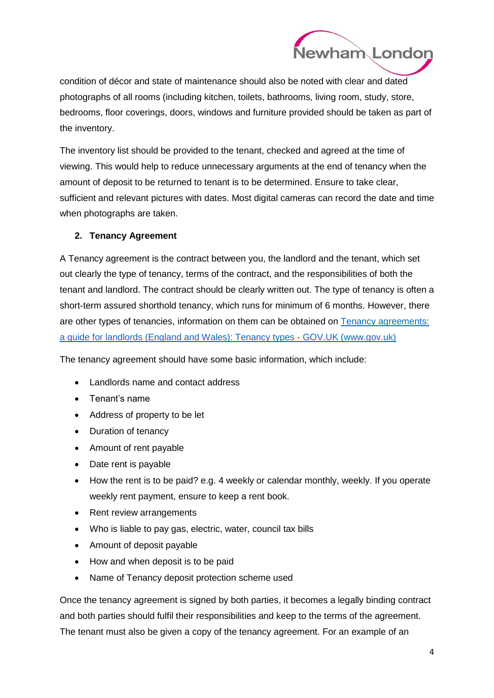

condition of décor and state of maintenance should also be noted with clear and dated photographs of all rooms (including kitchen, toilets, bathrooms, living room, study, store, bedrooms, floor coverings, doors, windows and furniture provided should be taken as part of the inventory.

The inventory list should be provided to the tenant, checked and agreed at the time of viewing. This would help to reduce unnecessary arguments at the end of tenancy when the amount of deposit to be returned to tenant is to be determined. Ensure to take clear, sufficient and relevant pictures with dates. Most digital cameras can record the date and time when photographs are taken.

#### **2. Tenancy Agreement**

A Tenancy agreement is the contract between you, the landlord and the tenant, which set out clearly the type of tenancy, terms of the contract, and the responsibilities of both the tenant and landlord. The contract should be clearly written out. The type of tenancy is often a short-term assured shorthold tenancy, which runs for minimum of 6 months. However, there are other types of tenancies, information on them can be obtained on Tenancy agreements: a guide for [landlords \(England and Wales\): Tenancy types -](https://www.gov.uk/tenancy-agreements-a-guide-for-landlords/tenancy-types) GOV.UK (www.gov.uk)

The tenancy agreement should have some basic information, which include:

- Landlords name and contact address
- Tenant's name
- Address of property to be let
- Duration of tenancy
- Amount of rent payable
- Date rent is payable
- How the rent is to be paid? e.g. 4 weekly or calendar monthly, weekly. If you operate weekly rent payment, ensure to keep a rent book.
- Rent review arrangements
- Who is liable to pay gas, electric, water, council tax bills
- Amount of deposit payable
- How and when deposit is to be paid
- Name of Tenancy deposit protection scheme used

Once the tenancy agreement is signed by both parties, it becomes a legally binding contract and both parties should fulfil their responsibilities and keep to the terms of the agreement. The tenant must also be given a copy of the tenancy agreement. For an example of an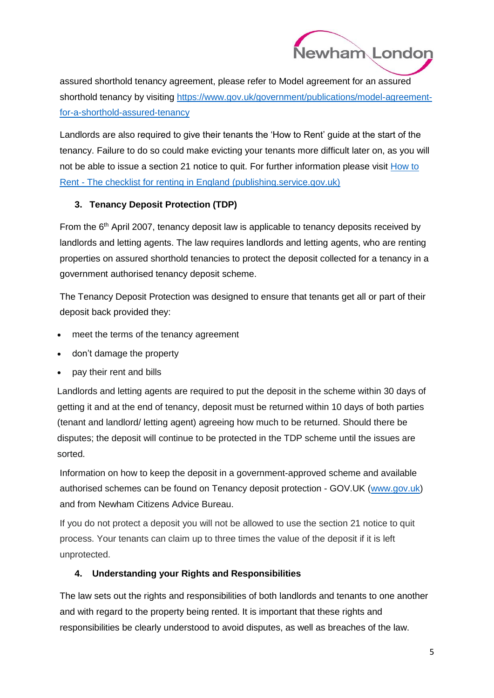

assured shorthold tenancy agreement, please refer to Model agreement for an assured shorthold tenancy by visiting [https://www.gov.uk/government/publications/model-agreement](https://www.gov.uk/government/publications/model-agreement-for-a-shorthold-assured-tenancy)[for-a-shorthold-assured-tenancy](https://www.gov.uk/government/publications/model-agreement-for-a-shorthold-assured-tenancy)

Landlords are also required to give their tenants the 'How to Rent' guide at the start of the tenancy. Failure to do so could make evicting your tenants more difficult later on, as you will not be able to issue a section 21 notice to quit. For further information please visit [How to](https://assets.publishing.service.gov.uk/government/uploads/system/uploads/attachment_data/file/942503/6.6642_MHCLG_How_to_Rent_v5.pdf)  Rent - [The checklist for renting in England \(publishing.service.gov.uk\)](https://assets.publishing.service.gov.uk/government/uploads/system/uploads/attachment_data/file/942503/6.6642_MHCLG_How_to_Rent_v5.pdf)

### **3. Tenancy Deposit Protection (TDP)**

From the  $6<sup>th</sup>$  April 2007, tenancy deposit law is applicable to tenancy deposits received by landlords and letting agents. The law requires landlords and letting agents, who are renting properties on assured shorthold tenancies to protect the deposit collected for a tenancy in a government authorised tenancy deposit scheme.

The Tenancy Deposit Protection was designed to ensure that tenants get all or part of their deposit back provided they:

- meet the terms of the tenancy agreement
- don't damage the property
- pay their rent and bills

Landlords and letting agents are required to put the deposit in the scheme within 30 days of getting it and at the end of tenancy, deposit must be returned within 10 days of both parties (tenant and landlord/ letting agent) agreeing how much to be returned. Should there be disputes; the deposit will continue to be protected in the TDP scheme until the issues are sorted.

Information on how to keep the deposit in a government-approved scheme and available authorised schemes can be found on Tenancy deposit protection - GOV.UK [\(www.gov.uk\)](http://www.gov.uk/) and from Newham Citizens Advice Bureau.

If you do not protect a deposit you will not be allowed to use the section 21 notice to quit process. Your tenants can claim up to three times the value of the deposit if it is left unprotected.

### **4. Understanding your Rights and Responsibilities**

The law sets out the rights and responsibilities of both landlords and tenants to one another and with regard to the property being rented. It is important that these rights and responsibilities be clearly understood to avoid disputes, as well as breaches of the law.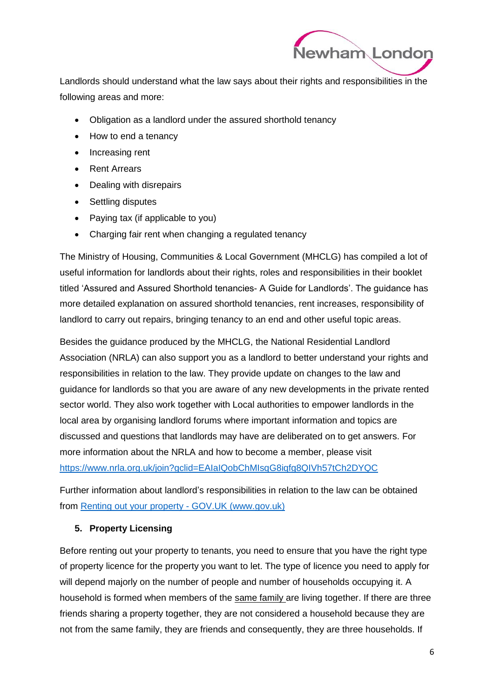

l Landlords should understand what the law says about their rights and responsibilities in the following areas and more:

- Obligation as a landlord under the assured shorthold tenancy
- How to end a tenancy
- Increasing rent
- Rent Arrears
- Dealing with disrepairs
- Settling disputes
- Paying tax (if applicable to you)
- Charging fair rent when changing a regulated tenancy

The Ministry of Housing, Communities & Local Government (MHCLG) has compiled a lot of useful information for landlords about their rights, roles and responsibilities in their booklet titled 'Assured and Assured Shorthold tenancies- A Guide for Landlords'. The guidance has more detailed explanation on assured shorthold tenancies, rent increases, responsibility of landlord to carry out repairs, bringing tenancy to an end and other useful topic areas.

Besides the guidance produced by the MHCLG, the National Residential Landlord Association (NRLA) can also support you as a landlord to better understand your rights and responsibilities in relation to the law. They provide update on changes to the law and guidance for landlords so that you are aware of any new developments in the private rented sector world. They also work together with Local authorities to empower landlords in the local area by organising landlord forums where important information and topics are discussed and questions that landlords may have are deliberated on to get answers. For more information about the NRLA and how to become a member, please visit <https://www.nrla.org.uk/join?gclid=EAIaIQobChMIsqG8iqfg8QIVh57tCh2DYQC>

Further information about landlord's responsibilities in relation to the law can be obtained from [Renting out your property -](https://www.gov.uk/renting-out-a-property) GOV.UK (www.gov.uk)

### **5. Property Licensing**

Before renting out your property to tenants, you need to ensure that you have the right type of property licence for the property you want to let. The type of licence you need to apply for will depend majorly on the number of people and number of households occupying it. A household is formed when members of the same family are living together. If there are three friends sharing a property together, they are not considered a household because they are not from the same family, they are friends and consequently, they are three households. If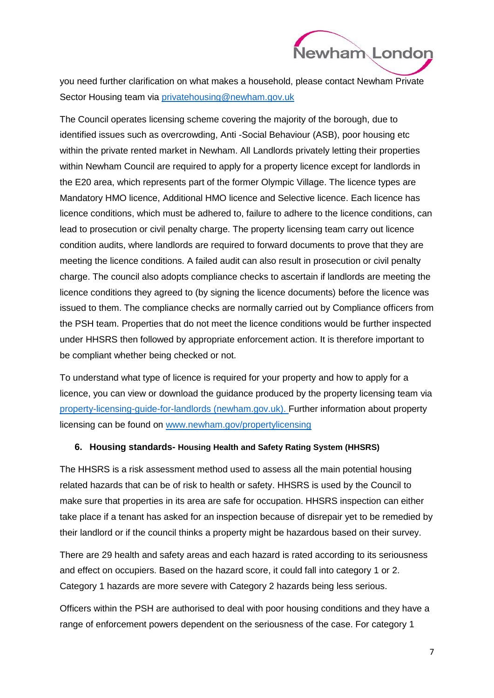

you need further clarification on what makes a household, please contact Newham Private Sector Housing team via [privatehousing@newham.gov.uk](mailto:privatehousing@newham.gov.uk)

The Council operates licensing scheme covering the majority of the borough, due to identified issues such as overcrowding, Anti -Social Behaviour (ASB), poor housing etc within the private rented market in Newham. All Landlords privately letting their properties within Newham Council are required to apply for a property licence except for landlords in the E20 area, which represents part of the former Olympic Village. The licence types are Mandatory HMO licence, Additional HMO licence and Selective licence. Each licence has licence conditions, which must be adhered to, failure to adhere to the licence conditions, can lead to prosecution or civil penalty charge. The property licensing team carry out licence condition audits, where landlords are required to forward documents to prove that they are meeting the licence conditions. A failed audit can also result in prosecution or civil penalty charge. The council also adopts compliance checks to ascertain if landlords are meeting the licence conditions they agreed to (by signing the licence documents) before the licence was issued to them. The compliance checks are normally carried out by Compliance officers from the PSH team. Properties that do not meet the licence conditions would be further inspected under HHSRS then followed by appropriate enforcement action. It is therefore important to be compliant whether being checked or not.

To understand what type of licence is required for your property and how to apply for a licence, you can view or download the guidance produced by the property licensing team via [property-licensing-guide-for-landlords \(newham.gov.uk\).](https://www.newham.gov.uk/downloads/file/1076/property-licensing-guide-for-landlords) Further information about property licensing can be found on [www.newham.gov/propertylicensing](http://www.newham.gov/propertylicensing)

#### **6. Housing standards- Housing Health and Safety Rating System (HHSRS)**

The HHSRS is a risk assessment method used to assess all the main potential housing related hazards that can be of risk to health or safety. HHSRS is used by the Council to make sure that properties in its area are safe for occupation. HHSRS inspection can either take place if a tenant has asked for an inspection because of disrepair yet to be remedied by their landlord or if the council thinks a property might be hazardous based on their survey.

There are 29 health and safety areas and each hazard is rated according to its seriousness and effect on occupiers. Based on the hazard score, it could fall into category 1 or 2. Category 1 hazards are more severe with Category 2 hazards being less serious.

Officers within the PSH are authorised to deal with poor housing conditions and they have a range of enforcement powers dependent on the seriousness of the case. For category 1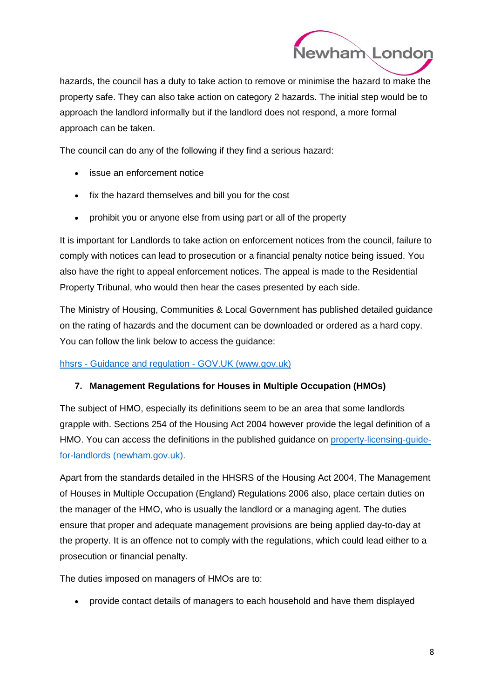

J hazards, the council has a duty to take action to remove or minimise the hazard to make the property safe. They can also take action on category 2 hazards. The initial step would be to approach the landlord informally but if the landlord does not respond, a more formal approach can be taken.

The council can do any of the following if they find a serious hazard:

- issue an enforcement notice
- fix the hazard themselves and bill you for the cost
- prohibit you or anyone else from using part or all of the property

It is important for Landlords to take action on enforcement notices from the council, failure to comply with notices can lead to prosecution or a financial penalty notice being issued. You also have the right to appeal enforcement notices. The appeal is made to the Residential Property Tribunal, who would then hear the cases presented by each side.

The Ministry of Housing, Communities & Local Government has published detailed guidance on the rating of hazards and the document can be downloaded or ordered as a hard copy. You can follow the link below to access the guidance:

### hhsrs - [Guidance and regulation -](https://www.gov.uk/search/guidance-and-regulation?parent=%2Fhousing-local-and-community%2Fhousing&keywords=hhsrs&topic=4ad66168-274d-4d83-9195-f4ab0ccc97cb&order=relevance) GOV.UK (www.gov.uk)

### **7. Management Regulations for Houses in Multiple Occupation (HMOs)**

The subject of HMO, especially its definitions seem to be an area that some landlords grapple with. Sections 254 of the Housing Act 2004 however provide the legal definition of a HMO. You can access the definitions in the published guidance on [property-licensing-guide](https://www.newham.gov.uk/downloads/file/1076/property-licensing-guide-for-landlords)[for-landlords \(newham.gov.uk\).](https://www.newham.gov.uk/downloads/file/1076/property-licensing-guide-for-landlords)

Apart from the standards detailed in the HHSRS of the Housing Act 2004, The Management of Houses in Multiple Occupation (England) Regulations 2006 also, place certain duties on the manager of the HMO, who is usually the landlord or a managing agent. The duties ensure that proper and adequate management provisions are being applied day-to-day at the property. It is an offence not to comply with the regulations, which could lead either to a prosecution or financial penalty.

The duties imposed on managers of HMOs are to:

provide contact details of managers to each household and have them displayed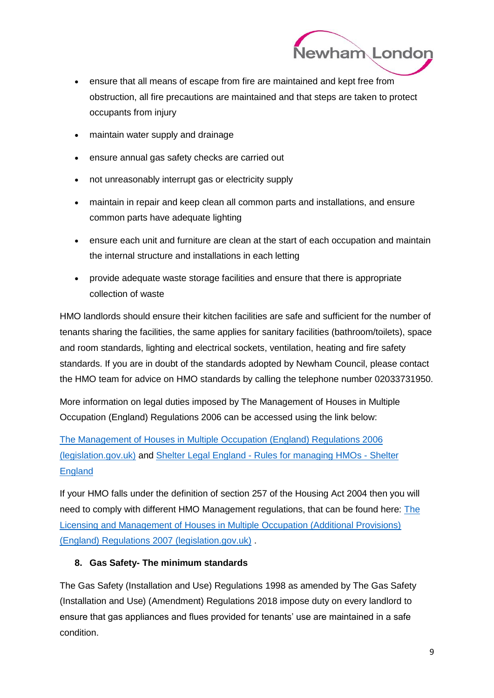

- ensure that all means of escape from fire are maintained and kept free from obstruction, all fire precautions are maintained and that steps are taken to protect occupants from injury
- maintain water supply and drainage
- ensure annual gas safety checks are carried out
- not unreasonably interrupt gas or electricity supply
- maintain in repair and keep clean all common parts and installations, and ensure common parts have adequate lighting
- ensure each unit and furniture are clean at the start of each occupation and maintain the internal structure and installations in each letting
- provide adequate waste storage facilities and ensure that there is appropriate collection of waste

HMO landlords should ensure their kitchen facilities are safe and sufficient for the number of tenants sharing the facilities, the same applies for sanitary facilities (bathroom/toilets), space and room standards, lighting and electrical sockets, ventilation, heating and fire safety standards. If you are in doubt of the standards adopted by Newham Council, please contact the HMO team for advice on HMO standards by calling the telephone number 02033731950.

More information on legal duties imposed by The Management of Houses in Multiple Occupation (England) Regulations 2006 can be accessed using the link below:

[The Management of Houses in Multiple Occupation \(England\) Regulations 2006](https://www.legislation.gov.uk/uksi/2006/372/contents/made)  [\(legislation.gov.uk\)](https://www.legislation.gov.uk/uksi/2006/372/contents/made) and Shelter Legal England - [Rules for managing HMOs -](https://england.shelter.org.uk/professional_resources/legal/housing_conditions/hmo_standards/rules_for_managing_hmos) Shelter **[England](https://england.shelter.org.uk/professional_resources/legal/housing_conditions/hmo_standards/rules_for_managing_hmos)** 

If your HMO falls under the definition of section 257 of the Housing Act 2004 then you will need to comply with different HMO Management regulations, that can be found here: [The](https://www.legislation.gov.uk/uksi/2007/1903/contents/made)  [Licensing and Management of Houses in Multiple Occupation \(Additional Provisions\)](https://www.legislation.gov.uk/uksi/2007/1903/contents/made)  [\(England\) Regulations 2007 \(legislation.gov.uk\)](https://www.legislation.gov.uk/uksi/2007/1903/contents/made) .

### **8. Gas Safety- The minimum standards**

The Gas Safety (Installation and Use) Regulations 1998 as amended by The Gas Safety (Installation and Use) (Amendment) Regulations 2018 impose duty on every landlord to ensure that gas appliances and flues provided for tenants' use are maintained in a safe condition.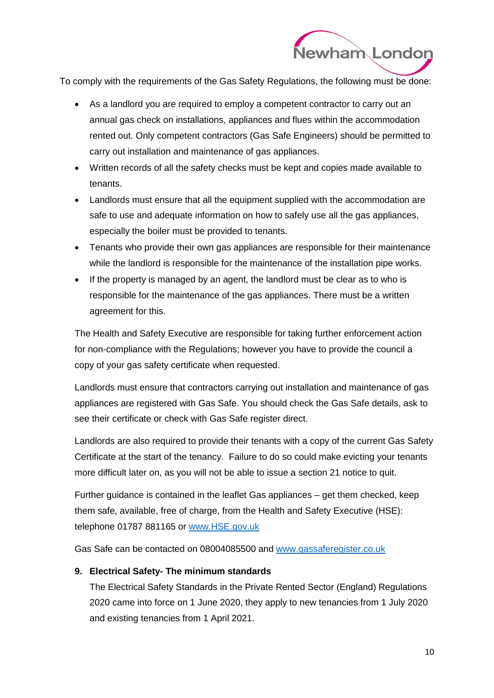

 $\overline{a}$ To comply with the requirements of the Gas Safety Regulations, the following must be done:

- As a landlord you are required to employ a competent contractor to carry out an annual gas check on installations, appliances and flues within the accommodation rented out. Only competent contractors (Gas Safe Engineers) should be permitted to carry out installation and maintenance of gas appliances.
- Written records of all the safety checks must be kept and copies made available to tenants.
- Landlords must ensure that all the equipment supplied with the accommodation are safe to use and adequate information on how to safely use all the gas appliances, especially the boiler must be provided to tenants.
- Tenants who provide their own gas appliances are responsible for their maintenance while the landlord is responsible for the maintenance of the installation pipe works.
- If the property is managed by an agent, the landlord must be clear as to who is responsible for the maintenance of the gas appliances. There must be a written agreement for this.

The Health and Safety Executive are responsible for taking further enforcement action for non-compliance with the Regulations; however you have to provide the council a copy of your gas safety certificate when requested.

Landlords must ensure that contractors carrying out installation and maintenance of gas appliances are registered with Gas Safe. You should check the Gas Safe details, ask to see their certificate or check with Gas Safe register direct.

Landlords are also required to provide their tenants with a copy of the current Gas Safety Certificate at the start of the tenancy. Failure to do so could make evicting your tenants more difficult later on, as you will not be able to issue a section 21 notice to quit.

Further guidance is contained in the leaflet Gas appliances – get them checked, keep them safe, available, free of charge, from the Health and Safety Executive (HSE): telephone 01787 881165 or [www.HSE.gov.uk](http://www.hse.gov.uk/)

Gas Safe can be contacted on 08004085500 and [www.gassaferegister.co.uk](http://www.gassaferegister.co.uk/)

### **9. Electrical Safety- The minimum standards**

The Electrical Safety Standards in the Private Rented Sector (England) Regulations 2020 came into force on 1 June 2020, they apply to new tenancies from 1 July 2020 and existing tenancies from 1 April 2021.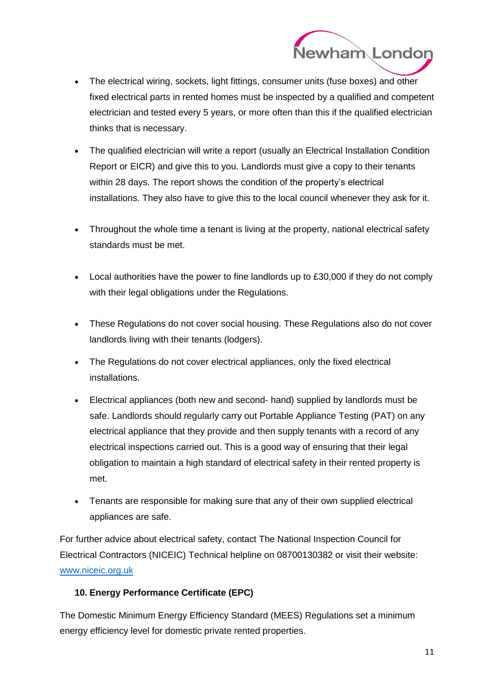

- The electrical wiring, sockets, light fittings, consumer units (fuse boxes) and other fixed electrical parts in rented homes must be inspected by a qualified and competent electrician and tested every 5 years, or more often than this if the qualified electrician thinks that is necessary.
- The qualified electrician will write a report (usually an Electrical Installation Condition Report or EICR) and give this to you. Landlords must give a copy to their tenants within 28 days. The report shows the condition of the property's electrical installations. They also have to give this to the local council whenever they ask for it.
- Throughout the whole time a tenant is living at the property, national electrical safety standards must be met.
- Local authorities have the power to fine landlords up to £30,000 if they do not comply with their legal obligations under the Regulations.
- These Regulations do not cover social housing. These Regulations also do not cover landlords living with their tenants (lodgers).
- The Regulations do not cover electrical appliances, only the fixed electrical installations.
- Electrical appliances (both new and second- hand) supplied by landlords must be safe. Landlords should regularly carry out Portable Appliance Testing (PAT) on any electrical appliance that they provide and then supply tenants with a record of any electrical inspections carried out. This is a good way of ensuring that their legal obligation to maintain a high standard of electrical safety in their rented property is met.
- Tenants are responsible for making sure that any of their own supplied electrical appliances are safe.

For further advice about electrical safety, contact The National Inspection Council for Electrical Contractors (NICEIC) Technical helpline on 08700130382 or visit their website: [www.niceic.org.uk](http://www.niceic.org.uk/)

### **10. Energy Performance Certificate (EPC)**

The Domestic Minimum Energy Efficiency Standard (MEES) Regulations set a minimum energy efficiency level for domestic private rented properties.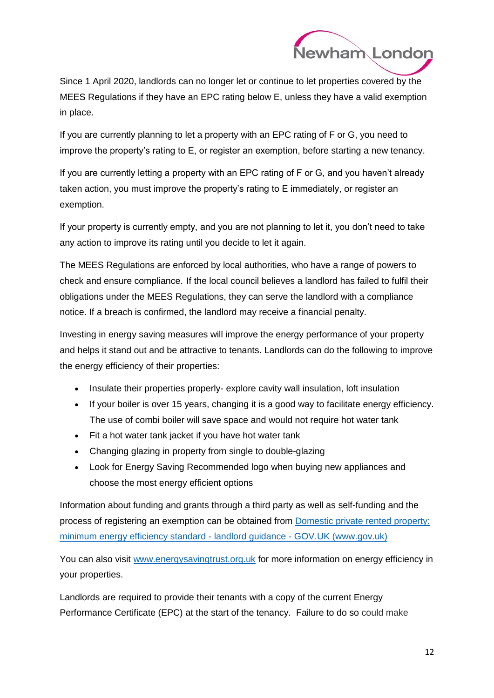

Since 1 April 2020, landlords can no longer let or continue to let properties covered by the MEES Regulations if they have an EPC rating below E, unless they have a valid exemption in place.

If you are currently planning to let a property with an EPC rating of F or G, you need to improve the property's rating to E, or register an exemption, before starting a new tenancy.

If you are currently letting a property with an EPC rating of F or G, and you haven't already taken action, you must improve the property's rating to E immediately, or register an exemption.

If your property is currently empty, and you are not planning to let it, you don't need to take any action to improve its rating until you decide to let it again.

The MEES Regulations are enforced by local authorities, who have a range of powers to check and ensure compliance. If the local council believes a landlord has failed to fulfil their obligations under the MEES Regulations, they can serve the landlord with a compliance notice. If a breach is confirmed, the landlord may receive a financial penalty.

Investing in energy saving measures will improve the energy performance of your property and helps it stand out and be attractive to tenants. Landlords can do the following to improve the energy efficiency of their properties:

- Insulate their properties properly- explore cavity wall insulation, loft insulation
- If your boiler is over 15 years, changing it is a good way to facilitate energy efficiency. The use of combi boiler will save space and would not require hot water tank
- Fit a hot water tank jacket if you have hot water tank
- Changing glazing in property from single to double-glazing
- Look for Energy Saving Recommended logo when buying new appliances and choose the most energy efficient options

Information about funding and grants through a third party as well as self-funding and the process of registering an exemption can be obtained from [Domestic private rented property:](https://www.gov.uk/guidance/domestic-private-rented-property-minimum-energy-efficiency-standard-landlord-guidance)  [minimum energy efficiency standard -](https://www.gov.uk/guidance/domestic-private-rented-property-minimum-energy-efficiency-standard-landlord-guidance) landlord guidance - GOV.UK (www.gov.uk)

You can also visit [www.energysavingtrust.org.uk](http://www.energysavingtrust.org.uk/) for more information on energy efficiency in your properties.

Landlords are required to provide their tenants with a copy of the current Energy Performance Certificate (EPC) at the start of the tenancy. Failure to do so could make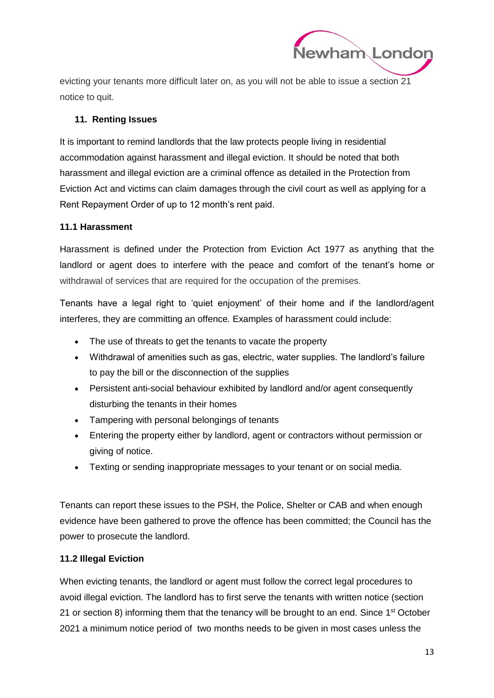

evicting your tenants more difficult later on, as you will not be able to issue a section 21 notice to quit.

### **11. Renting Issues**

It is important to remind landlords that the law protects people living in residential accommodation against harassment and illegal eviction. It should be noted that both harassment and illegal eviction are a criminal offence as detailed in the Protection from Eviction Act and victims can claim damages through the civil court as well as applying for a Rent Repayment Order of up to 12 month's rent paid.

### **11.1 Harassment**

Harassment is defined under the Protection from Eviction Act 1977 as anything that the landlord or agent does to interfere with the peace and comfort of the tenant's home or withdrawal of services that are required for the occupation of the premises.

Tenants have a legal right to 'quiet enjoyment' of their home and if the landlord/agent interferes, they are committing an offence. Examples of harassment could include:

- The use of threats to get the tenants to vacate the property
- Withdrawal of amenities such as gas, electric, water supplies. The landlord's failure to pay the bill or the disconnection of the supplies
- Persistent anti-social behaviour exhibited by landlord and/or agent consequently disturbing the tenants in their homes
- Tampering with personal belongings of tenants
- Entering the property either by landlord, agent or contractors without permission or giving of notice.
- Texting or sending inappropriate messages to your tenant or on social media.

Tenants can report these issues to the PSH, the Police, Shelter or CAB and when enough evidence have been gathered to prove the offence has been committed; the Council has the power to prosecute the landlord.

### **11.2 Illegal Eviction**

When evicting tenants, the landlord or agent must follow the correct legal procedures to avoid illegal eviction. The landlord has to first serve the tenants with written notice (section 21 or section 8) informing them that the tenancy will be brought to an end. Since  $1<sup>st</sup>$  October 2021 a minimum notice period of two months needs to be given in most cases unless the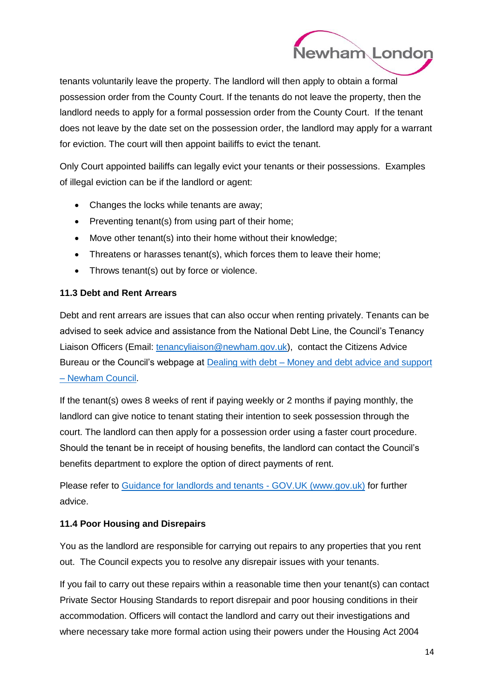

tenants voluntarily leave the property. The landlord will then apply to obtain a formal possession order from the County Court. If the tenants do not leave the property, then the landlord needs to apply for a formal possession order from the County Court. If the tenant does not leave by the date set on the possession order, the landlord may apply for a warrant for eviction. The court will then appoint bailiffs to evict the tenant.

Only Court appointed bailiffs can legally evict your tenants or their possessions. Examples of illegal eviction can be if the landlord or agent:

- Changes the locks while tenants are away;
- Preventing tenant(s) from using part of their home;
- Move other tenant(s) into their home without their knowledge;
- Threatens or harasses tenant(s), which forces them to leave their home;
- Throws tenant(s) out by force or violence.

### **11.3 Debt and Rent Arrears**

Debt and rent arrears are issues that can also occur when renting privately. Tenants can be advised to seek advice and assistance from the National Debt Line, the Council's Tenancy Liaison Officers (Email: [tenancyliaison@newham.gov.uk\)](mailto:tenancyliaison@newham.gov.uk), contact the Citizens Advice Bureau or the Council's webpage at **Dealing with debt – Money and debt advice and support** – [Newham Council.](https://www.newham.gov.uk/advice-support-benefits/money-debt-advice-support/1)

If the tenant(s) owes 8 weeks of rent if paying weekly or 2 months if paying monthly, the landlord can give notice to tenant stating their intention to seek possession through the court. The landlord can then apply for a possession order using a faster court procedure. Should the tenant be in receipt of housing benefits, the landlord can contact the Council's benefits department to explore the option of direct payments of rent.

Please refer to [Guidance for landlords and tenants -](https://www.gov.uk/government/publications/covid-19-and-renting-guidance-for-landlords-tenants-and-local-authorities/coronavirus-covid-19-guidance-for-landlords-and-tenants) GOV.UK (www.gov.uk) for further advice.

### **11.4 Poor Housing and Disrepairs**

You as the landlord are responsible for carrying out repairs to any properties that you rent out. The Council expects you to resolve any disrepair issues with your tenants.

If you fail to carry out these repairs within a reasonable time then your tenant(s) can contact Private Sector Housing Standards to report disrepair and poor housing conditions in their accommodation. Officers will contact the landlord and carry out their investigations and where necessary take more formal action using their powers under the Housing Act 2004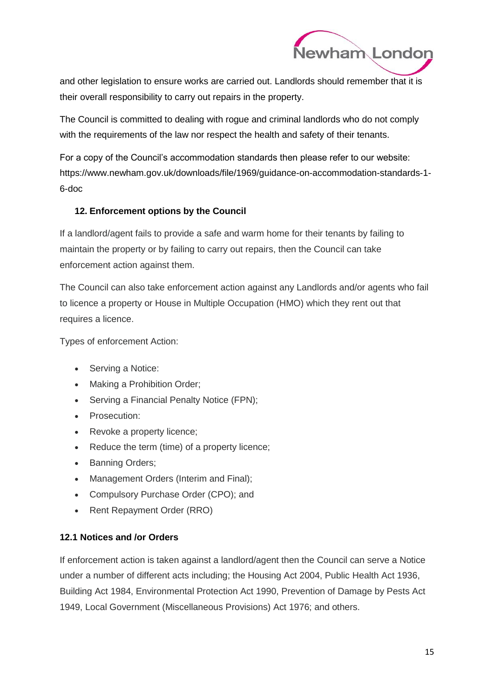

and other legislation to ensure works are carried out. Landlords should remember that it is their overall responsibility to carry out repairs in the property.

The Council is committed to dealing with rogue and criminal landlords who do not comply with the requirements of the law nor respect the health and safety of their tenants.

For a copy of the Council's accommodation standards then please refer to our website: https://www.newham.gov.uk/downloads/file/1969/guidance-on-accommodation-standards-1- 6-doc

### **12. Enforcement options by the Council**

If a landlord/agent fails to provide a safe and warm home for their tenants by failing to maintain the property or by failing to carry out repairs, then the Council can take enforcement action against them.

The Council can also take enforcement action against any Landlords and/or agents who fail to licence a property or House in Multiple Occupation (HMO) which they rent out that requires a licence.

Types of enforcement Action:

- Serving a Notice:
- Making a Prohibition Order;
- Serving a Financial Penalty Notice (FPN);
- Prosecution:
- Revoke a property licence:
- Reduce the term (time) of a property licence;
- Banning Orders;
- Management Orders (Interim and Final);
- Compulsory Purchase Order (CPO); and
- Rent Repayment Order (RRO)

### **12.1 Notices and /or Orders**

If enforcement action is taken against a landlord/agent then the Council can serve a Notice under a number of different acts including; the Housing Act 2004, Public Health Act 1936, Building Act 1984, Environmental Protection Act 1990, Prevention of Damage by Pests Act 1949, Local Government (Miscellaneous Provisions) Act 1976; and others.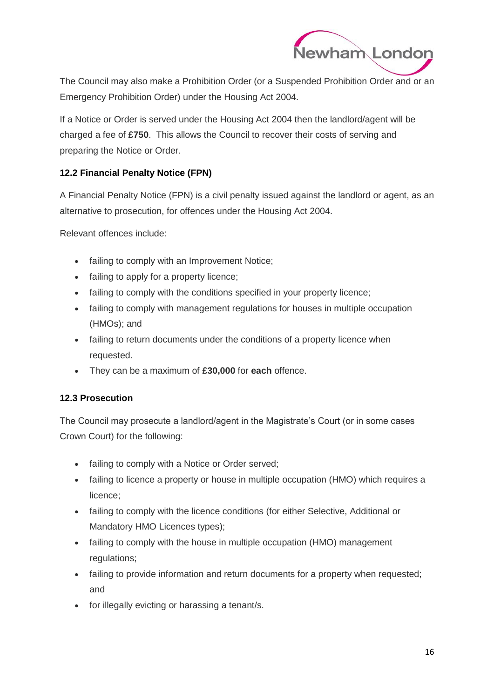

 $\overline{a}$ The Council may also make a Prohibition Order (or a Suspended Prohibition Order and or an Emergency Prohibition Order) under the Housing Act 2004.

If a Notice or Order is served under the Housing Act 2004 then the landlord/agent will be charged a fee of **£750**. This allows the Council to recover their costs of serving and preparing the Notice or Order.

### **12.2 Financial Penalty Notice (FPN)**

A Financial Penalty Notice (FPN) is a civil penalty issued against the landlord or agent, as an alternative to prosecution, for offences under the Housing Act 2004.

Relevant offences include:

- failing to comply with an Improvement Notice;
- failing to apply for a property licence;
- failing to comply with the conditions specified in your property licence;
- failing to comply with management regulations for houses in multiple occupation (HMOs); and
- failing to return documents under the conditions of a property licence when requested.
- They can be a maximum of **£30,000** for **each** offence.

### **12.3 Prosecution**

The Council may prosecute a landlord/agent in the Magistrate's Court (or in some cases Crown Court) for the following:

- failing to comply with a Notice or Order served;
- failing to licence a property or house in multiple occupation (HMO) which requires a licence;
- failing to comply with the licence conditions (for either Selective, Additional or Mandatory HMO Licences types);
- failing to comply with the house in multiple occupation (HMO) management regulations;
- failing to provide information and return documents for a property when requested; and
- for illegally evicting or harassing a tenant/s.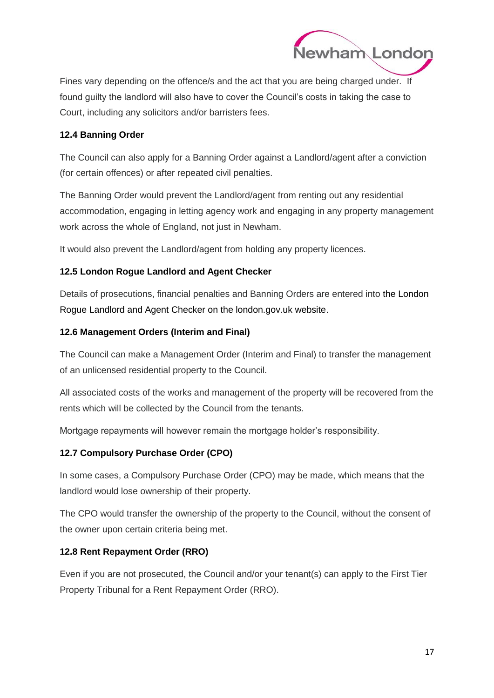

l Fines vary depending on the offence/s and the act that you are being charged under. If found guilty the landlord will also have to cover the Council's costs in taking the case to Court, including any solicitors and/or barristers fees.

### **12.4 Banning Order**

The Council can also apply for a Banning Order against a Landlord/agent after a conviction (for certain offences) or after repeated civil penalties.

The Banning Order would prevent the Landlord/agent from renting out any residential accommodation, engaging in letting agency work and engaging in any property management work across the whole of England, not just in Newham.

It would also prevent the Landlord/agent from holding any property licences.

### **12.5 London Rogue Landlord and Agent Checker**

Details of prosecutions, financial penalties and Banning Orders are entered into [the London](https://www.london.gov.uk/rogue-landlord-checker)  [Rogue Landlord and Agent Checker on the london.gov.uk website.](https://www.london.gov.uk/rogue-landlord-checker)

### **12.6 Management Orders (Interim and Final)**

The Council can make a Management Order (Interim and Final) to transfer the management of an unlicensed residential property to the Council.

All associated costs of the works and management of the property will be recovered from the rents which will be collected by the Council from the tenants.

Mortgage repayments will however remain the mortgage holder's responsibility.

### **12.7 Compulsory Purchase Order (CPO)**

In some cases, a Compulsory Purchase Order (CPO) may be made, which means that the landlord would lose ownership of their property.

The CPO would transfer the ownership of the property to the Council, without the consent of the owner upon certain criteria being met.

### **12.8 Rent Repayment Order (RRO)**

Even if you are not prosecuted, the Council and/or your tenant(s) can apply to the First Tier Property Tribunal for a Rent Repayment Order (RRO).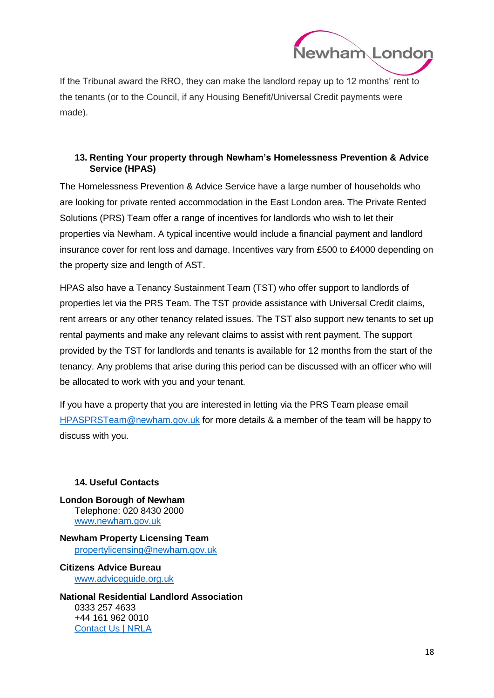

l If the Tribunal award the RRO, they can make the landlord repay up to 12 months' rent to the tenants (or to the Council, if any Housing Benefit/Universal Credit payments were made).

### **13. Renting Your property through Newham's Homelessness Prevention & Advice Service (HPAS)**

The Homelessness Prevention & Advice Service have a large number of households who are looking for private rented accommodation in the East London area. The Private Rented Solutions (PRS) Team offer a range of incentives for landlords who wish to let their properties via Newham. A typical incentive would include a financial payment and landlord insurance cover for rent loss and damage. Incentives vary from £500 to £4000 depending on the property size and length of AST.

HPAS also have a Tenancy Sustainment Team (TST) who offer support to landlords of properties let via the PRS Team. The TST provide assistance with Universal Credit claims, rent arrears or any other tenancy related issues. The TST also support new tenants to set up rental payments and make any relevant claims to assist with rent payment. The support provided by the TST for landlords and tenants is available for 12 months from the start of the tenancy. Any problems that arise during this period can be discussed with an officer who will be allocated to work with you and your tenant.

If you have a property that you are interested in letting via the PRS Team please email [HPASPRSTeam@newham.gov.uk](mailto:HPASPRSTeam@newham.gov.uk) for more details & a member of the team will be happy to discuss with you.

### **14. Useful Contacts**

**London Borough of Newham** Telephone: 020 8430 2000 [www.newham.gov.uk](http://www.newham.gov.uk/)

**Newham Property Licensing Team** [propertylicensing@newham.gov.uk](mailto:propertylicensing@newham.gov.uk)

**Citizens Advice Bureau** [www.adviceguide.org.uk](http://www.adviceguide.org.uk/)

**National Residential Landlord Association** 0333 257 4633 +44 161 962 0010 [Contact Us | NRLA](https://www.nrla.org.uk/about-us/contact-us)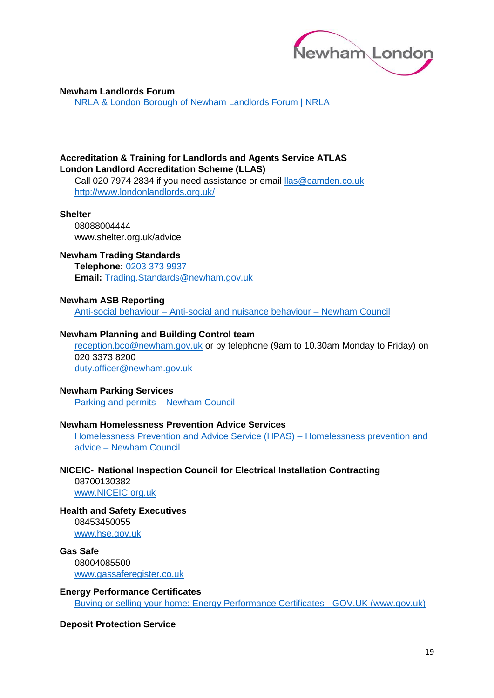

#### **Newham Landlords Forum**

[NRLA & London Borough of Newham Landlords Forum | NRLA](https://www.nrla.org.uk/events/previous-webinars/london-burough-of-newham-landlord-forum-april-21)

#### **Accreditation & Training for Landlords and Agents Service ATLAS London Landlord Accreditation Scheme (LLAS)**

Call 020 7974 2834 if you need assistance or email [llas@camden.co.uk](mailto:llas@camden.co.uk) <http://www.londonlandlords.org.uk/>

#### **Shelter**

08088004444 www.shelter.org.uk/advice

#### **Newham Trading Standards**

**Telephone:** [0203 373 9937](tel:02033739937) **Email:** [Trading.Standards@newham.gov.uk](mailto:Trading.Standards@newham.gov.uk)

#### **Newham ASB Reporting**

Anti-social behaviour – [Anti-social and nuisance behaviour –](https://www.newham.gov.uk/community-parks-leisure/anti-social-nuisance-behaviour) Newham Council

#### **Newham Planning and Building Control team**

[reception.bco@newham.gov.uk](mailto:reception.bco@newham.gov.uk) or by telephone (9am to 10.30am Monday to Friday) on 020 3373 8200 [duty.officer@newham.gov.uk](mailto:duty.officer@newham.gov.uk)

#### **Newham Parking Services**

[Parking and permits –](https://www.newham.gov.uk/parking-permits) Newham Council

#### **Newham Homelessness Prevention Advice Services**

[Homelessness Prevention and Advice Service \(HPAS\) –](https://www.newham.gov.uk/housing-homes-homelessness/homelessness-prevention-advice/4) Homelessness prevention and advice – [Newham Council](https://www.newham.gov.uk/housing-homes-homelessness/homelessness-prevention-advice/4)

#### **NICEIC- National Inspection Council for Electrical Installation Contracting**

08700130382 [www.NICEIC.org.uk](http://www.niceic.org.uk/)

#### **Health and Safety Executives**

08453450055 [www.hse.gov.uk](http://www.hse.gov.uk/)

**Gas Safe** 08004085500 [www.gassaferegister.co.uk](http://www.gassaferegister.co.uk/)

#### **Energy Performance Certificates**

[Buying or selling your home: Energy Performance Certificates -](https://www.gov.uk/buy-sell-your-home/energy-performance-certificates) GOV.UK (www.gov.uk)

#### **Deposit Protection Service**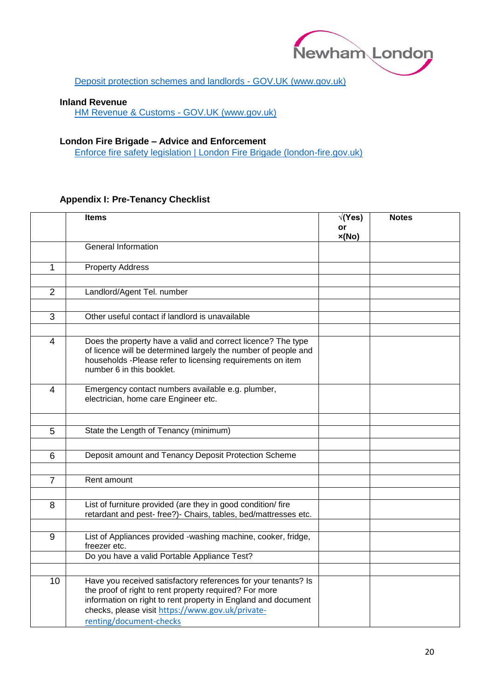

[Deposit protection schemes and landlords -](https://www.gov.uk/deposit-protection-schemes-and-landlords) GOV.UK (www.gov.uk)

#### **Inland Revenue**

[HM Revenue & Customs -](https://www.gov.uk/government/organisations/hm-revenue-customs) GOV.UK (www.gov.uk)

#### **London Fire Brigade – Advice and Enforcement**

[Enforce fire safety legislation | London Fire Brigade \(london-fire.gov.uk\)](https://www.london-fire.gov.uk/about-us/what-we-do/enforce-fire-safety-legislation/)

#### **Appendix I: Pre-Tenancy Checklist**

|                | <b>Items</b>                                                                                                                                                                                                                                                             | $\sqrt{(Yes)}$<br>or | <b>Notes</b> |
|----------------|--------------------------------------------------------------------------------------------------------------------------------------------------------------------------------------------------------------------------------------------------------------------------|----------------------|--------------|
|                |                                                                                                                                                                                                                                                                          | x(No)                |              |
|                | <b>General Information</b>                                                                                                                                                                                                                                               |                      |              |
| 1              | <b>Property Address</b>                                                                                                                                                                                                                                                  |                      |              |
|                |                                                                                                                                                                                                                                                                          |                      |              |
| $\overline{2}$ | Landlord/Agent Tel. number                                                                                                                                                                                                                                               |                      |              |
|                |                                                                                                                                                                                                                                                                          |                      |              |
| 3              | Other useful contact if landlord is unavailable                                                                                                                                                                                                                          |                      |              |
|                |                                                                                                                                                                                                                                                                          |                      |              |
| 4              | Does the property have a valid and correct licence? The type<br>of licence will be determined largely the number of people and<br>households -Please refer to licensing requirements on item<br>number 6 in this booklet.                                                |                      |              |
| $\overline{4}$ | Emergency contact numbers available e.g. plumber,<br>electrician, home care Engineer etc.                                                                                                                                                                                |                      |              |
|                |                                                                                                                                                                                                                                                                          |                      |              |
| 5              | State the Length of Tenancy (minimum)                                                                                                                                                                                                                                    |                      |              |
|                | Deposit amount and Tenancy Deposit Protection Scheme                                                                                                                                                                                                                     |                      |              |
| 6              |                                                                                                                                                                                                                                                                          |                      |              |
| $\overline{7}$ | Rent amount                                                                                                                                                                                                                                                              |                      |              |
|                |                                                                                                                                                                                                                                                                          |                      |              |
| 8              | List of furniture provided (are they in good condition/ fire<br>retardant and pest- free?)- Chairs, tables, bed/mattresses etc.                                                                                                                                          |                      |              |
| 9              | List of Appliances provided -washing machine, cooker, fridge,                                                                                                                                                                                                            |                      |              |
|                | freezer etc.                                                                                                                                                                                                                                                             |                      |              |
|                | Do you have a valid Portable Appliance Test?                                                                                                                                                                                                                             |                      |              |
|                |                                                                                                                                                                                                                                                                          |                      |              |
| 10             | Have you received satisfactory references for your tenants? Is<br>the proof of right to rent property required? For more<br>information on right to rent property in England and document<br>checks, please visit https://www.gov.uk/private-<br>renting/document-checks |                      |              |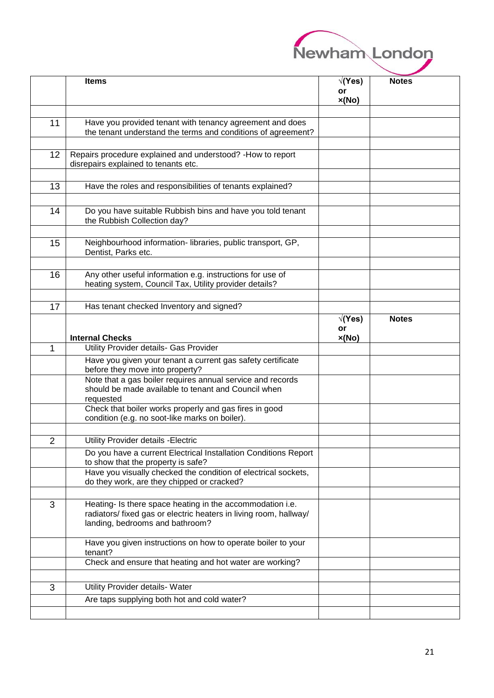| Newham London |  |
|---------------|--|
|               |  |
|               |  |

|    | <b>Items</b>                                                                                                             | √(Yes) | <b>Notes</b> |
|----|--------------------------------------------------------------------------------------------------------------------------|--------|--------------|
|    |                                                                                                                          | or     |              |
|    |                                                                                                                          | x(No)  |              |
|    |                                                                                                                          |        |              |
| 11 | Have you provided tenant with tenancy agreement and does<br>the tenant understand the terms and conditions of agreement? |        |              |
|    |                                                                                                                          |        |              |
| 12 | Repairs procedure explained and understood? - How to report                                                              |        |              |
|    | disrepairs explained to tenants etc.                                                                                     |        |              |
|    |                                                                                                                          |        |              |
| 13 | Have the roles and responsibilities of tenants explained?                                                                |        |              |
|    |                                                                                                                          |        |              |
|    |                                                                                                                          |        |              |
| 14 | Do you have suitable Rubbish bins and have you told tenant<br>the Rubbish Collection day?                                |        |              |
|    |                                                                                                                          |        |              |
| 15 | Neighbourhood information- libraries, public transport, GP,                                                              |        |              |
|    | Dentist, Parks etc.                                                                                                      |        |              |
|    |                                                                                                                          |        |              |
| 16 | Any other useful information e.g. instructions for use of                                                                |        |              |
|    | heating system, Council Tax, Utility provider details?                                                                   |        |              |
|    |                                                                                                                          |        |              |
| 17 | Has tenant checked Inventory and signed?                                                                                 |        |              |
|    |                                                                                                                          | √(Yes) | <b>Notes</b> |
|    |                                                                                                                          | or     |              |
|    | <b>Internal Checks</b>                                                                                                   | x(No)  |              |
| 1  | Utility Provider details- Gas Provider                                                                                   |        |              |
|    | Have you given your tenant a current gas safety certificate                                                              |        |              |
|    | before they move into property?                                                                                          |        |              |
|    | Note that a gas boiler requires annual service and records                                                               |        |              |
|    | should be made available to tenant and Council when<br>requested                                                         |        |              |
|    | Check that boiler works properly and gas fires in good                                                                   |        |              |
|    | condition (e.g. no soot-like marks on boiler).                                                                           |        |              |
|    |                                                                                                                          |        |              |
| 2  | Utility Provider details - Electric                                                                                      |        |              |
|    | Do you have a current Electrical Installation Conditions Report                                                          |        |              |
|    | to show that the property is safe?                                                                                       |        |              |
|    | Have you visually checked the condition of electrical sockets,                                                           |        |              |
|    | do they work, are they chipped or cracked?                                                                               |        |              |
|    |                                                                                                                          |        |              |
| 3  | Heating- Is there space heating in the accommodation i.e.                                                                |        |              |
|    | radiators/ fixed gas or electric heaters in living room, hallway/<br>landing, bedrooms and bathroom?                     |        |              |
|    |                                                                                                                          |        |              |
|    | Have you given instructions on how to operate boiler to your                                                             |        |              |
|    | tenant?                                                                                                                  |        |              |
|    | Check and ensure that heating and hot water are working?                                                                 |        |              |
|    |                                                                                                                          |        |              |
| 3  | Utility Provider details- Water                                                                                          |        |              |
|    | Are taps supplying both hot and cold water?                                                                              |        |              |
|    |                                                                                                                          |        |              |
|    |                                                                                                                          |        |              |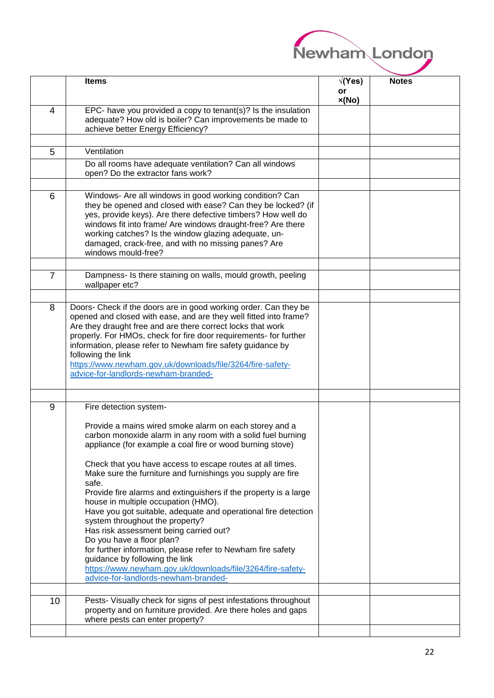

|                | <b>Items</b>                                                                                                              | √(Yes) | <b>Notes</b> |
|----------------|---------------------------------------------------------------------------------------------------------------------------|--------|--------------|
|                |                                                                                                                           | or     |              |
|                |                                                                                                                           | x(No)  |              |
| 4              | EPC- have you provided a copy to tenant(s)? Is the insulation<br>adequate? How old is boiler? Can improvements be made to |        |              |
|                | achieve better Energy Efficiency?                                                                                         |        |              |
|                |                                                                                                                           |        |              |
| 5              | Ventilation                                                                                                               |        |              |
|                | Do all rooms have adequate ventilation? Can all windows                                                                   |        |              |
|                | open? Do the extractor fans work?                                                                                         |        |              |
|                |                                                                                                                           |        |              |
| 6              | Windows- Are all windows in good working condition? Can                                                                   |        |              |
|                | they be opened and closed with ease? Can they be locked? (if                                                              |        |              |
|                | yes, provide keys). Are there defective timbers? How well do                                                              |        |              |
|                | windows fit into frame/ Are windows draught-free? Are there                                                               |        |              |
|                | working catches? Is the window glazing adequate, un-                                                                      |        |              |
|                | damaged, crack-free, and with no missing panes? Are                                                                       |        |              |
|                | windows mould-free?                                                                                                       |        |              |
|                |                                                                                                                           |        |              |
| $\overline{7}$ | Dampness- Is there staining on walls, mould growth, peeling<br>wallpaper etc?                                             |        |              |
|                |                                                                                                                           |        |              |
| 8              | Doors- Check if the doors are in good working order. Can they be                                                          |        |              |
|                | opened and closed with ease, and are they well fitted into frame?                                                         |        |              |
|                | Are they draught free and are there correct locks that work                                                               |        |              |
|                | properly. For HMOs, check for fire door requirements- for further                                                         |        |              |
|                | information, please refer to Newham fire safety guidance by                                                               |        |              |
|                | following the link                                                                                                        |        |              |
|                | https://www.newham.gov.uk/downloads/file/3264/fire-safety-                                                                |        |              |
|                | advice-for-landlords-newham-branded-                                                                                      |        |              |
|                |                                                                                                                           |        |              |
| 9              | Fire detection system-                                                                                                    |        |              |
|                |                                                                                                                           |        |              |
|                | Provide a mains wired smoke alarm on each storey and a                                                                    |        |              |
|                | carbon monoxide alarm in any room with a solid fuel burning                                                               |        |              |
|                | appliance (for example a coal fire or wood burning stove)                                                                 |        |              |
|                |                                                                                                                           |        |              |
|                | Check that you have access to escape routes at all times.<br>Make sure the furniture and furnishings you supply are fire  |        |              |
|                | safe.                                                                                                                     |        |              |
|                | Provide fire alarms and extinguishers if the property is a large                                                          |        |              |
|                | house in multiple occupation (HMO).                                                                                       |        |              |
|                | Have you got suitable, adequate and operational fire detection                                                            |        |              |
|                | system throughout the property?                                                                                           |        |              |
|                | Has risk assessment being carried out?                                                                                    |        |              |
|                | Do you have a floor plan?<br>for further information, please refer to Newham fire safety                                  |        |              |
|                | guidance by following the link                                                                                            |        |              |
|                | https://www.newham.gov.uk/downloads/file/3264/fire-safety-                                                                |        |              |
|                | advice-for-landlords-newham-branded-                                                                                      |        |              |
|                |                                                                                                                           |        |              |
| 10             | Pests- Visually check for signs of pest infestations throughout                                                           |        |              |
|                | property and on furniture provided. Are there holes and gaps                                                              |        |              |
|                | where pests can enter property?                                                                                           |        |              |
|                |                                                                                                                           |        |              |